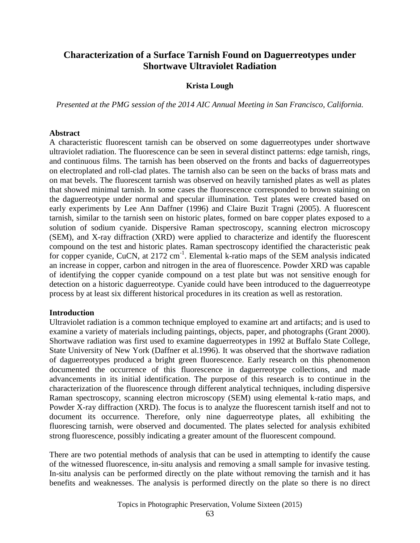# **Characterization of a Surface Tarnish Found on Daguerreotypes under Shortwave Ultraviolet Radiation**

## **Krista Lough**

*Presented at the PMG session of the 2014 AIC Annual Meeting in San Francisco, California.*

#### **Abstract**

A characteristic fluorescent tarnish can be observed on some daguerreotypes under shortwave ultraviolet radiation. The fluorescence can be seen in several distinct patterns: edge tarnish, rings, and continuous films. The tarnish has been observed on the fronts and backs of daguerreotypes on electroplated and roll-clad plates. The tarnish also can be seen on the backs of brass mats and on mat bevels. The fluorescent tarnish was observed on heavily tarnished plates as well as plates that showed minimal tarnish. In some cases the fluorescence corresponded to brown staining on the daguerreotype under normal and specular illumination. Test plates were created based on early experiments by Lee Ann Daffner (1996) and Claire Buzit Tragni (2005). A fluorescent tarnish, similar to the tarnish seen on historic plates, formed on bare copper plates exposed to a solution of sodium cyanide. Dispersive Raman spectroscopy, scanning electron microscopy (SEM), and X-ray diffraction (XRD) were applied to characterize and identify the fluorescent compound on the test and historic plates. Raman spectroscopy identified the characteristic peak for copper cyanide, CuCN, at 2172 cm<sup>-1</sup>. Elemental k-ratio maps of the SEM analysis indicated an increase in copper, carbon and nitrogen in the area of fluorescence. Powder XRD was capable of identifying the copper cyanide compound on a test plate but was not sensitive enough for detection on a historic daguerreotype. Cyanide could have been introduced to the daguerreotype process by at least six different historical procedures in its creation as well as restoration.

#### **Introduction**

Ultraviolet radiation is a common technique employed to examine art and artifacts; and is used to examine a variety of materials including paintings, objects, paper, and photographs (Grant 2000). Shortwave radiation was first used to examine daguerreotypes in 1992 at Buffalo State College, State University of New York (Daffner et al.1996). It was observed that the shortwave radiation of daguerreotypes produced a bright green fluorescence. Early research on this phenomenon documented the occurrence of this fluorescence in daguerreotype collections, and made advancements in its initial identification. The purpose of this research is to continue in the characterization of the fluorescence through different analytical techniques, including dispersive Raman spectroscopy, scanning electron microscopy (SEM) using elemental k-ratio maps, and Powder X-ray diffraction (XRD). The focus is to analyze the fluorescent tarnish itself and not to document its occurrence. Therefore, only nine daguerreotype plates, all exhibiting the fluorescing tarnish, were observed and documented. The plates selected for analysis exhibited strong fluorescence, possibly indicating a greater amount of the fluorescent compound.

There are two potential methods of analysis that can be used in attempting to identify the cause of the witnessed fluorescence, in-situ analysis and removing a small sample for invasive testing. In-situ analysis can be performed directly on the plate without removing the tarnish and it has benefits and weaknesses. The analysis is performed directly on the plate so there is no direct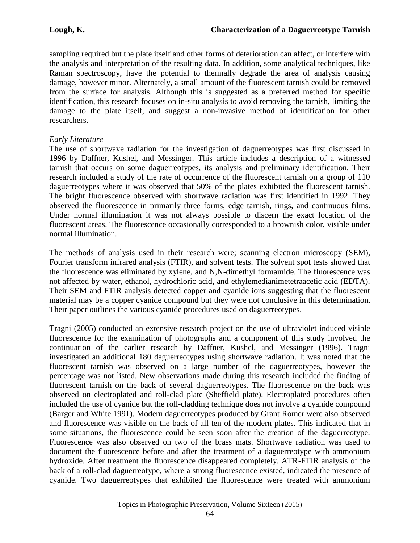sampling required but the plate itself and other forms of deterioration can affect, or interfere with the analysis and interpretation of the resulting data. In addition, some analytical techniques, like Raman spectroscopy, have the potential to thermally degrade the area of analysis causing damage, however minor. Alternately, a small amount of the fluorescent tarnish could be removed from the surface for analysis. Although this is suggested as a preferred method for specific identification, this research focuses on in-situ analysis to avoid removing the tarnish, limiting the damage to the plate itself, and suggest a non-invasive method of identification for other researchers.

## *Early Literature*

The use of shortwave radiation for the investigation of daguerreotypes was first discussed in 1996 by Daffner, Kushel, and Messinger. This article includes a description of a witnessed tarnish that occurs on some daguerreotypes, its analysis and preliminary identification. Their research included a study of the rate of occurrence of the fluorescent tarnish on a group of 110 daguerreotypes where it was observed that 50% of the plates exhibited the fluorescent tarnish. The bright fluorescence observed with shortwave radiation was first identified in 1992. They observed the fluorescence in primarily three forms, edge tarnish, rings, and continuous films. Under normal illumination it was not always possible to discern the exact location of the fluorescent areas. The fluorescence occasionally corresponded to a brownish color, visible under normal illumination.

The methods of analysis used in their research were; scanning electron microscopy (SEM), Fourier transform infrared analysis (FTIR), and solvent tests. The solvent spot tests showed that the fluorescence was eliminated by xylene, and N,N-dimethyl formamide. The fluorescence was not affected by water, ethanol, hydrochloric acid, and ethylemedianimetetraacetic acid (EDTA). Their SEM and FTIR analysis detected copper and cyanide ions suggesting that the fluorescent material may be a copper cyanide compound but they were not conclusive in this determination. Their paper outlines the various cyanide procedures used on daguerreotypes.

Tragni (2005) conducted an extensive research project on the use of ultraviolet induced visible fluorescence for the examination of photographs and a component of this study involved the continuation of the earlier research by Daffner, Kushel, and Messinger (1996). Tragni investigated an additional 180 daguerreotypes using shortwave radiation. It was noted that the fluorescent tarnish was observed on a large number of the daguerreotypes, however the percentage was not listed. New observations made during this research included the finding of fluorescent tarnish on the back of several daguerreotypes. The fluorescence on the back was observed on electroplated and roll-clad plate (Sheffield plate). Electroplated procedures often included the use of cyanide but the roll-cladding technique does not involve a cyanide compound (Barger and White 1991). Modern daguerreotypes produced by Grant Romer were also observed and fluorescence was visible on the back of all ten of the modern plates. This indicated that in some situations, the fluorescence could be seen soon after the creation of the daguerreotype. Fluorescence was also observed on two of the brass mats. Shortwave radiation was used to document the fluorescence before and after the treatment of a daguerreotype with ammonium hydroxide. After treatment the fluorescence disappeared completely. ATR-FTIR analysis of the back of a roll-clad daguerreotype, where a strong fluorescence existed, indicated the presence of cyanide. Two daguerreotypes that exhibited the fluorescence were treated with ammonium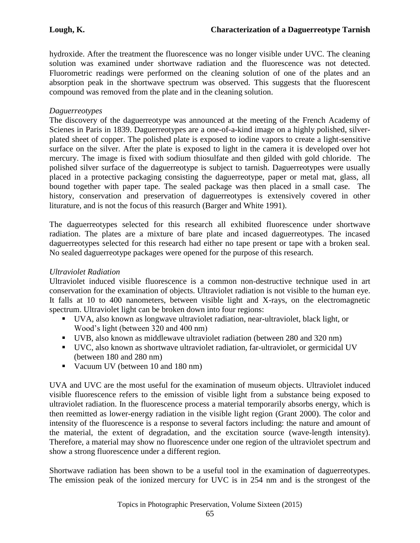hydroxide. After the treatment the fluorescence was no longer visible under UVC. The cleaning solution was examined under shortwave radiation and the fluorescence was not detected. Fluorometric readings were performed on the cleaning solution of one of the plates and an absorption peak in the shortwave spectrum was observed. This suggests that the fluorescent compound was removed from the plate and in the cleaning solution.

## *Daguerreotypes*

The discovery of the daguerreotype was announced at the meeting of the French Academy of Scienes in Paris in 1839. Daguerreotypes are a one-of-a-kind image on a highly polished, silverplated sheet of copper. The polished plate is exposed to iodine vapors to create a light-sensitive surface on the silver. After the plate is exposed to light in the camera it is developed over hot mercury. The image is fixed with sodium thiosulfate and then gilded with gold chloride. The polished silver surface of the daguerreotype is subject to tarnish. Daguerreotypes were usually placed in a protective packaging consisting the daguerreotype, paper or metal mat, glass, all bound together with paper tape. The sealed package was then placed in a small case. The history, conservation and preservation of daguerreotypes is extensively covered in other liturature, and is not the focus of this reasurch (Barger and White 1991).

The daguerreotypes selected for this research all exhibited fluorescence under shortwave radiation. The plates are a mixture of bare plate and incased daguerreotypes. The incased daguerreotypes selected for this research had either no tape present or tape with a broken seal. No sealed daguerreotype packages were opened for the purpose of this research.

## *Ultraviolet Radiation*

Ultraviolet induced visible fluorescence is a common non-destructive technique used in art conservation for the examination of objects. Ultraviolet radiation is not visible to the human eye. It falls at 10 to 400 nanometers, between visible light and X-rays, on the electromagnetic spectrum. Ultraviolet light can be broken down into four regions:

- UVA, also known as longwave ultraviolet radiation, near-ultraviolet, black light, or Wood's light (between 320 and 400 nm)
- UVB, also known as middlewave ultraviolet radiation (between 280 and 320 nm)
- UVC, also known as shortwave ultraviolet radiation, far-ultraviolet, or germicidal UV (between 180 and 280 nm)
- Vacuum UV (between 10 and 180 nm)

UVA and UVC are the most useful for the examination of museum objects. Ultraviolet induced visible fluorescence refers to the emission of visible light from a substance being exposed to ultraviolet radiation. In the fluorescence process a material temporarily absorbs energy, which is then reemitted as lower-energy radiation in the visible light region (Grant 2000). The color and intensity of the fluorescence is a response to several factors including: the nature and amount of the material, the extent of degradation, and the excitation source (wave-length intensity). Therefore, a material may show no fluorescence under one region of the ultraviolet spectrum and show a strong fluorescence under a different region.

Shortwave radiation has been shown to be a useful tool in the examination of daguerreotypes. The emission peak of the ionized mercury for UVC is in 254 nm and is the strongest of the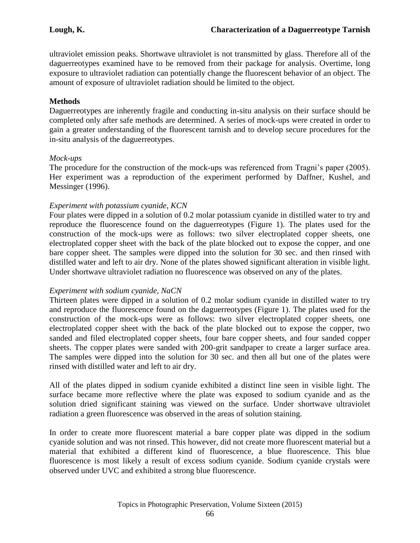ultraviolet emission peaks. Shortwave ultraviolet is not transmitted by glass. Therefore all of the daguerreotypes examined have to be removed from their package for analysis. Overtime, long exposure to ultraviolet radiation can potentially change the fluorescent behavior of an object. The amount of exposure of ultraviolet radiation should be limited to the object.

## **Methods**

Daguerreotypes are inherently fragile and conducting in-situ analysis on their surface should be completed only after safe methods are determined. A series of mock-ups were created in order to gain a greater understanding of the fluorescent tarnish and to develop secure procedures for the in-situ analysis of the daguerreotypes.

## *Mock-ups*

The procedure for the construction of the mock-ups was referenced from Tragni's paper (2005). Her experiment was a reproduction of the experiment performed by Daffner, Kushel, and Messinger (1996).

## *Experiment with potassium cyanide, KCN*

Four plates were dipped in a solution of 0.2 molar potassium cyanide in distilled water to try and reproduce the fluorescence found on the daguerreotypes (Figure 1). The plates used for the construction of the mock-ups were as follows: two silver electroplated copper sheets, one electroplated copper sheet with the back of the plate blocked out to expose the copper, and one bare copper sheet. The samples were dipped into the solution for 30 sec. and then rinsed with distilled water and left to air dry. None of the plates showed significant alteration in visible light. Under shortwave ultraviolet radiation no fluorescence was observed on any of the plates.

## *Experiment with sodium cyanide, NaCN*

Thirteen plates were dipped in a solution of 0.2 molar sodium cyanide in distilled water to try and reproduce the fluorescence found on the daguerreotypes (Figure 1). The plates used for the construction of the mock-ups were as follows: two silver electroplated copper sheets, one electroplated copper sheet with the back of the plate blocked out to expose the copper, two sanded and filed electroplated copper sheets, four bare copper sheets, and four sanded copper sheets. The copper plates were sanded with 200-grit sandpaper to create a larger surface area. The samples were dipped into the solution for 30 sec. and then all but one of the plates were rinsed with distilled water and left to air dry.

All of the plates dipped in sodium cyanide exhibited a distinct line seen in visible light. The surface became more reflective where the plate was exposed to sodium cyanide and as the solution dried significant staining was viewed on the surface. Under shortwave ultraviolet radiation a green fluorescence was observed in the areas of solution staining.

In order to create more fluorescent material a bare copper plate was dipped in the sodium cyanide solution and was not rinsed. This however, did not create more fluorescent material but a material that exhibited a different kind of fluorescence, a blue fluorescence. This blue fluorescence is most likely a result of excess sodium cyanide. Sodium cyanide crystals were observed under UVC and exhibited a strong blue fluorescence.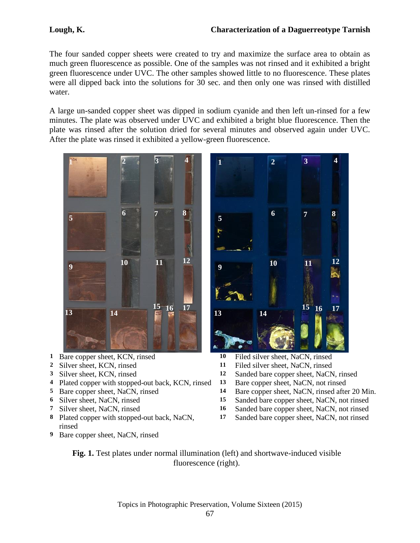The four sanded copper sheets were created to try and maximize the surface area to obtain as much green fluorescence as possible. One of the samples was not rinsed and it exhibited a bright green fluorescence under UVC. The other samples showed little to no fluorescence. These plates were all dipped back into the solutions for 30 sec. and then only one was rinsed with distilled water.

A large un-sanded copper sheet was dipped in sodium cyanide and then left un-rinsed for a few minutes. The plate was observed under UVC and exhibited a bright blue fluorescence. Then the plate was rinsed after the solution dried for several minutes and observed again under UVC. After the plate was rinsed it exhibited a yellow-green fluorescence.



- Bare copper sheet, KCN, rinsed **10** Filed silver sheet, NaCN, rinsed
- 
- 
- Plated copper with stopped-out back, KCN, rinsed **13** Bare copper sheet, NaCN, not rinsed
- 
- 
- 
- Plated copper with stopped-out back, NaCN, rinsed
- Bare copper sheet, NaCN, rinsed



- 
- Silver sheet, KCN, rinsed **11** Filed silver sheet, NaCN, rinsed
- Silver sheet, KCN, rinsed **12** Sanded bare copper sheet, NaCN, rinsed
	-
- Bare copper sheet, NaCN, rinsed **14** Bare copper sheet, NaCN, rinsed after 20 Min.
- Silver sheet, NaCN, rinsed **15** Sanded bare copper sheet, NaCN, not rinsed
- Silver sheet, NaCN, rinsed **16** Sanded bare copper sheet, NaCN, not rinsed
	- Sanded bare copper sheet, NaCN, not rinsed

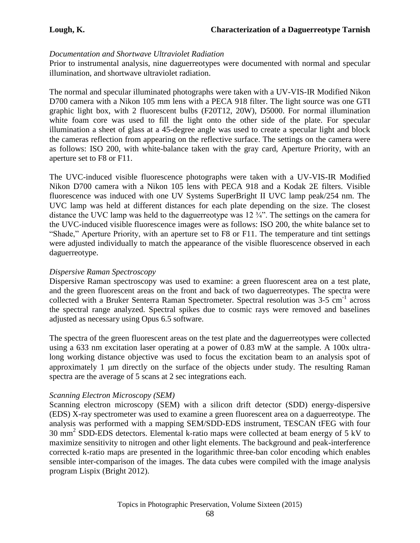#### *Documentation and Shortwave Ultraviolet Radiation*

Prior to instrumental analysis, nine daguerreotypes were documented with normal and specular illumination, and shortwave ultraviolet radiation.

The normal and specular illuminated photographs were taken with a UV-VIS-IR Modified Nikon D700 camera with a Nikon 105 mm lens with a PECA 918 filter. The light source was one GTI graphic light box, with 2 fluorescent bulbs (F20T12, 20W), D5000. For normal illumination white foam core was used to fill the light onto the other side of the plate. For specular illumination a sheet of glass at a 45-degree angle was used to create a specular light and block the cameras reflection from appearing on the reflective surface. The settings on the camera were as follows: ISO 200, with white-balance taken with the gray card, Aperture Priority, with an aperture set to F8 or F11.

The UVC-induced visible fluorescence photographs were taken with a UV-VIS-IR Modified Nikon D700 camera with a Nikon 105 lens with PECA 918 and a Kodak 2E filters. Visible fluorescence was induced with one UV Systems SuperBright II UVC lamp peak/254 nm. The UVC lamp was held at different distances for each plate depending on the size. The closest distance the UVC lamp was held to the daguerreotype was 12 ¾". The settings on the camera for the UVC-induced visible fluorescence images were as follows: ISO 200, the white balance set to "Shade," Aperture Priority, with an aperture set to F8 or F11. The temperature and tint settings were adjusted individually to match the appearance of the visible fluorescence observed in each daguerreotype.

#### *Dispersive Raman Spectroscopy*

Dispersive Raman spectroscopy was used to examine: a green fluorescent area on a test plate, and the green fluorescent areas on the front and back of two daguerreotypes. The spectra were collected with a Bruker Senterra Raman Spectrometer. Spectral resolution was 3-5 cm<sup>-1</sup> across the spectral range analyzed. Spectral spikes due to cosmic rays were removed and baselines adjusted as necessary using Opus 6.5 software.

The spectra of the green fluorescent areas on the test plate and the daguerreotypes were collected using a 633 nm excitation laser operating at a power of 0.83 mW at the sample. A 100x ultralong working distance objective was used to focus the excitation beam to an analysis spot of approximately 1 µm directly on the surface of the objects under study. The resulting Raman spectra are the average of 5 scans at 2 sec integrations each.

#### *Scanning Electron Microscopy (SEM)*

Scanning electron microscopy (SEM) with a silicon drift detector (SDD) energy-dispersive (EDS) X-ray spectrometer was used to examine a green fluorescent area on a daguerreotype. The analysis was performed with a mapping SEM/SDD-EDS instrument, TESCAN tFEG with four 30 mm<sup>2</sup> SDD-EDS detectors. Elemental k-ratio maps were collected at beam energy of 5 kV to maximize sensitivity to nitrogen and other light elements. The background and peak-interference corrected k-ratio maps are presented in the logarithmic three-ban color encoding which enables sensible inter-comparison of the images. The data cubes were compiled with the image analysis program Lispix (Bright 2012).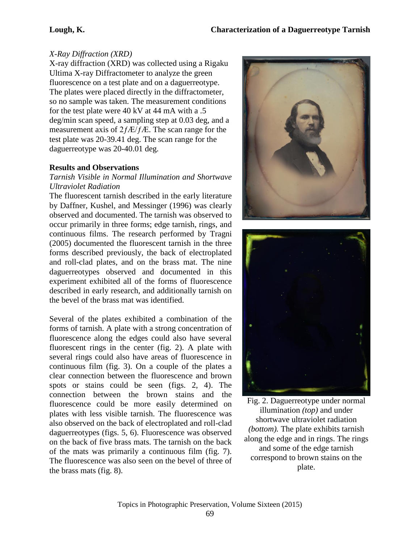# *X-Ray Diffraction (XRD)*

X-ray diffraction (XRD) was collected using a Rigaku Ultima X-ray Diffractometer to analyze the green fluorescence on a test plate and on a daguerreotype. The plates were placed directly in the diffractometer, so no sample was taken. The measurement conditions for the test plate were 40 kV at 44 mA with a .5 deg/min scan speed, a sampling step at 0.03 deg, and a measurement axis of  $2f\frac{E}{fE}$ . The scan range for the test plate was 20-39.41 deg. The scan range for the daguerreotype was 20-40.01 deg.

# **Results and Observations**

## *Tarnish Visible in Normal Illumination and Shortwave Ultraviolet Radiation*

The fluorescent tarnish described in the early literature by Daffner, Kushel, and Messinger (1996) was clearly observed and documented. The tarnish was observed to occur primarily in three forms; edge tarnish, rings, and continuous films. The research performed by Tragni (2005) documented the fluorescent tarnish in the three forms described previously, the back of electroplated and roll-clad plates, and on the brass mat. The nine daguerreotypes observed and documented in this experiment exhibited all of the forms of fluorescence described in early research, and additionally tarnish on the bevel of the brass mat was identified.

Several of the plates exhibited a combination of the forms of tarnish. A plate with a strong concentration of fluorescence along the edges could also have several fluorescent rings in the center (fig. 2). A plate with several rings could also have areas of fluorescence in continuous film (fig. 3). On a couple of the plates a clear connection between the fluorescence and brown spots or stains could be seen (figs. 2, 4). The connection between the brown stains and the fluorescence could be more easily determined on plates with less visible tarnish. The fluorescence was also observed on the back of electroplated and roll-clad daguerreotypes (figs. 5, 6). Fluorescence was observed on the back of five brass mats. The tarnish on the back of the mats was primarily a continuous film (fig. 7). The fluorescence was also seen on the bevel of three of the brass mats (fig. 8).





Fig. 2. Daguerreotype under normal illumination *(top)* and under shortwave ultraviolet radiation *(bottom).* The plate exhibits tarnish along the edge and in rings. The rings and some of the edge tarnish correspond to brown stains on the plate.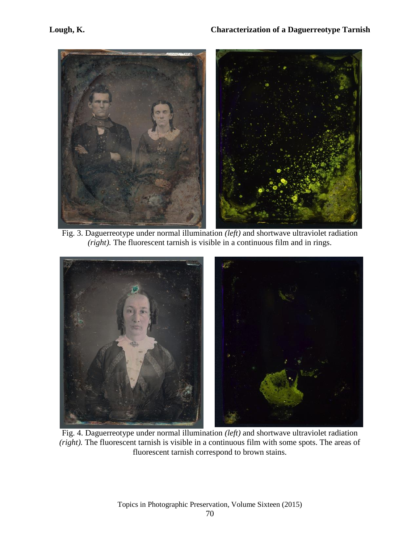

Fig. 3. Daguerreotype under normal illumination *(left)* and shortwave ultraviolet radiation *(right).* The fluorescent tarnish is visible in a continuous film and in rings.



Fig. 4. Daguerreotype under normal illumination *(left)* and shortwave ultraviolet radiation *(right).* The fluorescent tarnish is visible in a continuous film with some spots. The areas of fluorescent tarnish correspond to brown stains.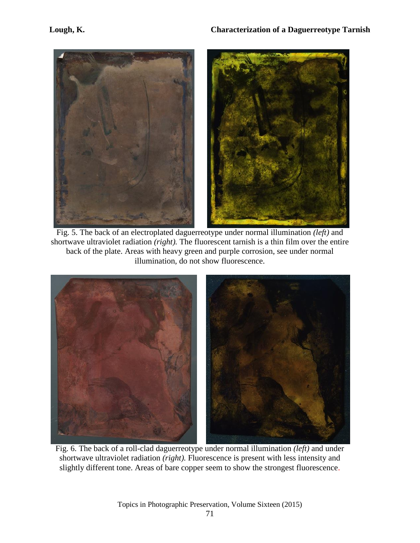

Fig. 5. The back of an electroplated daguerreotype under normal illumination *(left)* and shortwave ultraviolet radiation *(right).* The fluorescent tarnish is a thin film over the entire back of the plate. Areas with heavy green and purple corrosion, see under normal illumination, do not show fluorescence.



Fig. 6. The back of a roll-clad daguerreotype under normal illumination *(left)* and under shortwave ultraviolet radiation *(right).* Fluorescence is present with less intensity and slightly different tone. Areas of bare copper seem to show the strongest fluorescence.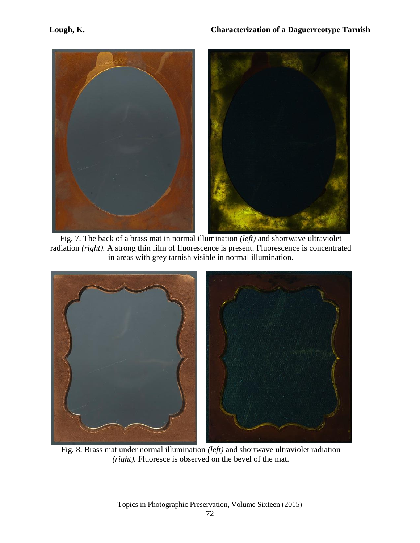

Fig. 7. The back of a brass mat in normal illumination *(left)* and shortwave ultraviolet radiation *(right).* A strong thin film of fluorescence is present. Fluorescence is concentrated in areas with grey tarnish visible in normal illumination.



Fig. 8. Brass mat under normal illumination *(left)* and shortwave ultraviolet radiation *(right).* Fluoresce is observed on the bevel of the mat.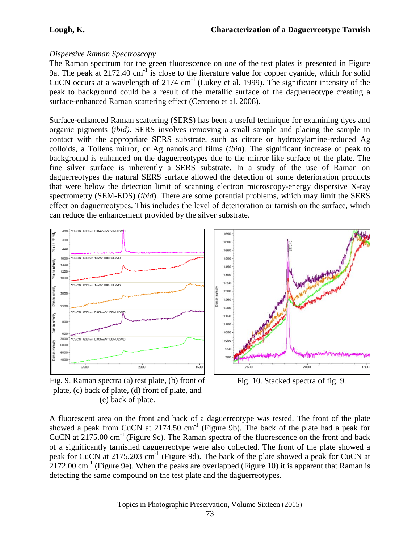# *Dispersive Raman Spectroscopy*

The Raman spectrum for the green fluorescence on one of the test plates is presented in Figure 9a. The peak at 2172.40 cm<sup>-1</sup> is close to the literature value for copper cyanide, which for solid CuCN occurs at a wavelength of  $2174 \text{ cm}^{-1}$  (Lukey et al. 1999). The significant intensity of the peak to background could be a result of the metallic surface of the daguerreotype creating a surface-enhanced Raman scattering effect (Centeno et al. 2008).

Surface-enhanced Raman scattering (SERS) has been a useful technique for examining dyes and organic pigments (*ibid)*. SERS involves removing a small sample and placing the sample in contact with the appropriate SERS substrate, such as citrate or hydroxylamine-reduced Ag colloids, a Tollens mirror, or Ag nanoisland films (*ibid*). The significant increase of peak to background is enhanced on the daguerreotypes due to the mirror like surface of the plate. The fine silver surface is inherently a SERS substrate. In a study of the use of Raman on daguerreotypes the natural SERS surface allowed the detection of some deterioration products that were below the detection limit of scanning electron microscopy-energy dispersive X-ray spectrometry (SEM-EDS) (*ibid*). There are some potential problems, which may limit the SERS effect on daguerreotypes. This includes the level of deterioration or tarnish on the surface, which can reduce the enhancement provided by the silver substrate.



Fig. 9. Raman spectra (a) test plate, (b) front of plate, (c) back of plate, (d) front of plate, and (e) back of plate.

Fig. 10. Stacked spectra of fig. 9.

A fluorescent area on the front and back of a daguerreotype was tested. The front of the plate showed a peak from CuCN at  $2174.50 \text{ cm}^{-1}$  (Figure 9b). The back of the plate had a peak for CuCN at  $2175.00 \text{ cm}^{-1}$  (Figure 9c). The Raman spectra of the fluorescence on the front and back of a significantly tarnished daguerreotype were also collected. The front of the plate showed a peak for CuCN at 2175.203 cm<sup>-1</sup> (Figure 9d). The back of the plate showed a peak for CuCN at  $2172.00 \text{ cm}^{-1}$  (Figure 9e). When the peaks are overlapped (Figure 10) it is apparent that Raman is detecting the same compound on the test plate and the daguerreotypes.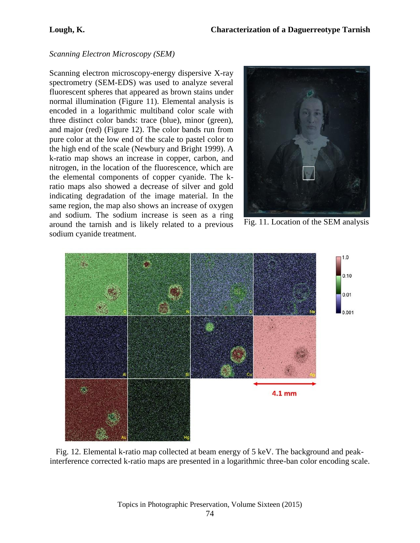## *Scanning Electron Microscopy (SEM)*

Scanning electron microscopy-energy dispersive X-ray spectrometry (SEM-EDS) was used to analyze several fluorescent spheres that appeared as brown stains under normal illumination (Figure 11). Elemental analysis is encoded in a logarithmic multiband color scale with three distinct color bands: trace (blue), minor (green), and major (red) (Figure 12). The color bands run from pure color at the low end of the scale to pastel color to the high end of the scale (Newbury and Bright 1999). A k-ratio map shows an increase in copper, carbon, and nitrogen, in the location of the fluorescence, which are the elemental components of copper cyanide. The kratio maps also showed a decrease of silver and gold indicating degradation of the image material. In the same region, the map also shows an increase of oxygen and sodium. The sodium increase is seen as a ring around the tarnish and is likely related to a previous sodium cyanide treatment.



Fig. 11. Location of the SEM analysis



Fig. 12. Elemental k-ratio map collected at beam energy of 5 keV. The background and peakinterference corrected k-ratio maps are presented in a logarithmic three-ban color encoding scale.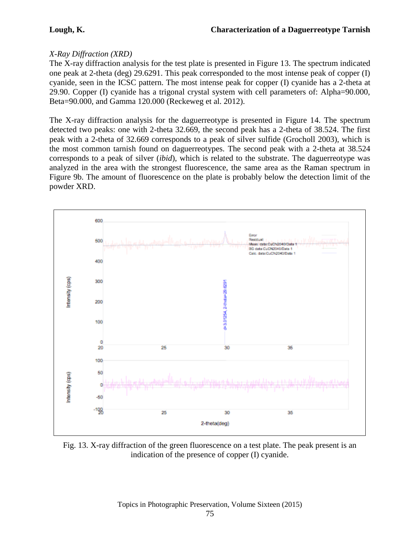# *X-Ray Diffraction (XRD)*

The X-ray diffraction analysis for the test plate is presented in Figure 13. The spectrum indicated one peak at 2-theta (deg) 29.6291. This peak corresponded to the most intense peak of copper (I) cyanide, seen in the ICSC pattern. The most intense peak for copper (I) cyanide has a 2-theta at 29.90. Copper (I) cyanide has a trigonal crystal system with cell parameters of: Alpha=90.000, Beta=90.000, and Gamma 120.000 (Reckeweg et al. 2012).

The X-ray diffraction analysis for the daguerreotype is presented in Figure 14. The spectrum detected two peaks: one with 2-theta 32.669, the second peak has a 2-theta of 38.524. The first peak with a 2-theta of 32.669 corresponds to a peak of silver sulfide (Grocholl 2003), which is the most common tarnish found on daguerreotypes. The second peak with a 2-theta at 38.524 corresponds to a peak of silver (*ibid*), which is related to the substrate. The daguerreotype was analyzed in the area with the strongest fluorescence, the same area as the Raman spectrum in Figure 9b. The amount of fluorescence on the plate is probably below the detection limit of the powder XRD.



Fig. 13. X-ray diffraction of the green fluorescence on a test plate. The peak present is an indication of the presence of copper (I) cyanide.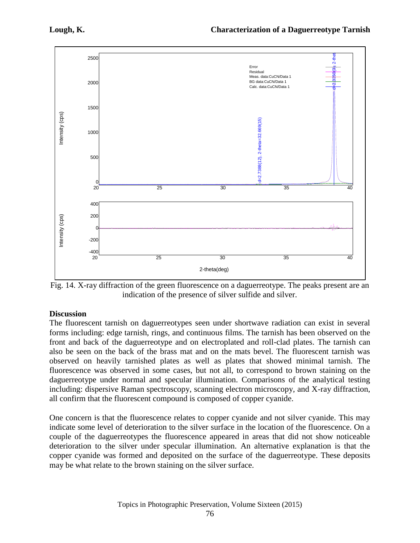

Fig. 14. X-ray diffraction of the green fluorescence on a daguerreotype. The peaks present are an indication of the presence of silver sulfide and silver.

## **Discussion**

The fluorescent tarnish on daguerreotypes seen under shortwave radiation can exist in several forms including: edge tarnish, rings, and continuous films. The tarnish has been observed on the front and back of the daguerreotype and on electroplated and roll-clad plates. The tarnish can also be seen on the back of the brass mat and on the mats bevel. The fluorescent tarnish was observed on heavily tarnished plates as well as plates that showed minimal tarnish. The fluorescence was observed in some cases, but not all, to correspond to brown staining on the daguerreotype under normal and specular illumination. Comparisons of the analytical testing including: dispersive Raman spectroscopy, scanning electron microscopy, and X-ray diffraction, all confirm that the fluorescent compound is composed of copper cyanide.

One concern is that the fluorescence relates to copper cyanide and not silver cyanide. This may indicate some level of deterioration to the silver surface in the location of the fluorescence. On a couple of the daguerreotypes the fluorescence appeared in areas that did not show noticeable deterioration to the silver under specular illumination. An alternative explanation is that the copper cyanide was formed and deposited on the surface of the daguerreotype. These deposits may be what relate to the brown staining on the silver surface.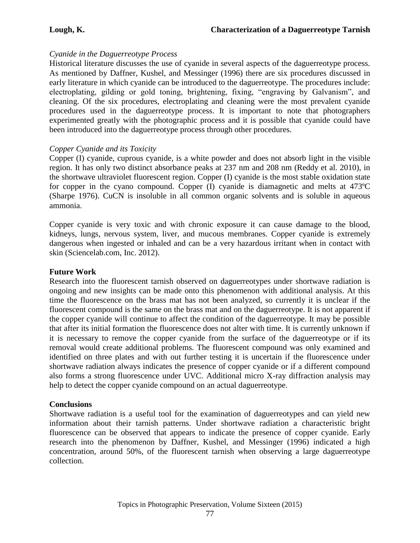## *Cyanide in the Daguerreotype Process*

Historical literature discusses the use of cyanide in several aspects of the daguerreotype process. As mentioned by Daffner, Kushel, and Messinger (1996) there are six procedures discussed in early literature in which cyanide can be introduced to the daguerreotype. The procedures include: electroplating, gilding or gold toning, brightening, fixing, "engraving by Galvanism", and cleaning. Of the six procedures, electroplating and cleaning were the most prevalent cyanide procedures used in the daguerreotype process. It is important to note that photographers experimented greatly with the photographic process and it is possible that cyanide could have been introduced into the daguerreotype process through other procedures.

## *Copper Cyanide and its Toxicity*

Copper (I) cyanide, cuprous cyanide, is a white powder and does not absorb light in the visible region. It has only two distinct absorbance peaks at 237 nm and 208 nm (Reddy et al. 2010), in the shortwave ultraviolet fluorescent region. Copper (I) cyanide is the most stable oxidation state for copper in the cyano compound. Copper (I) cyanide is diamagnetic and melts at 473ºC (Sharpe 1976). CuCN is insoluble in all common organic solvents and is soluble in aqueous ammonia.

Copper cyanide is very toxic and with chronic exposure it can cause damage to the blood, kidneys, lungs, nervous system, liver, and mucous membranes. Copper cyanide is extremely dangerous when ingested or inhaled and can be a very hazardous irritant when in contact with skin (Sciencelab.com, Inc. 2012).

#### **Future Work**

Research into the fluorescent tarnish observed on daguerreotypes under shortwave radiation is ongoing and new insights can be made onto this phenomenon with additional analysis. At this time the fluorescence on the brass mat has not been analyzed, so currently it is unclear if the fluorescent compound is the same on the brass mat and on the daguerreotype. It is not apparent if the copper cyanide will continue to affect the condition of the daguerreotype. It may be possible that after its initial formation the fluorescence does not alter with time. It is currently unknown if it is necessary to remove the copper cyanide from the surface of the daguerreotype or if its removal would create additional problems. The fluorescent compound was only examined and identified on three plates and with out further testing it is uncertain if the fluorescence under shortwave radiation always indicates the presence of copper cyanide or if a different compound also forms a strong fluorescence under UVC. Additional micro X-ray diffraction analysis may help to detect the copper cyanide compound on an actual daguerreotype.

#### **Conclusions**

Shortwave radiation is a useful tool for the examination of daguerreotypes and can yield new information about their tarnish patterns. Under shortwave radiation a characteristic bright fluorescence can be observed that appears to indicate the presence of copper cyanide. Early research into the phenomenon by Daffner, Kushel, and Messinger (1996) indicated a high concentration, around 50%, of the fluorescent tarnish when observing a large daguerreotype collection.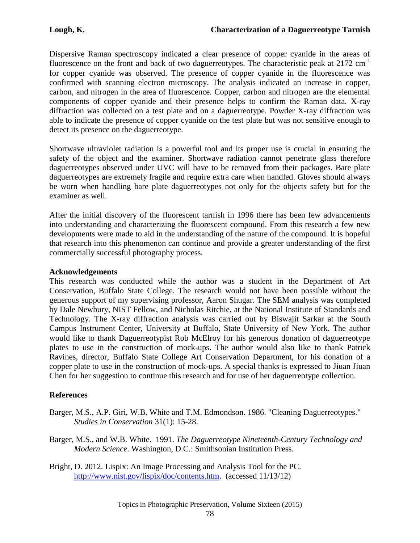Dispersive Raman spectroscopy indicated a clear presence of copper cyanide in the areas of fluorescence on the front and back of two daguerreotypes. The characteristic peak at  $2172 \text{ cm}^{-1}$ for copper cyanide was observed. The presence of copper cyanide in the fluorescence was confirmed with scanning electron microscopy. The analysis indicated an increase in copper, carbon, and nitrogen in the area of fluorescence. Copper, carbon and nitrogen are the elemental components of copper cyanide and their presence helps to confirm the Raman data. X-ray diffraction was collected on a test plate and on a daguerreotype. Powder X-ray diffraction was able to indicate the presence of copper cyanide on the test plate but was not sensitive enough to detect its presence on the daguerreotype.

Shortwave ultraviolet radiation is a powerful tool and its proper use is crucial in ensuring the safety of the object and the examiner. Shortwave radiation cannot penetrate glass therefore daguerreotypes observed under UVC will have to be removed from their packages. Bare plate daguerreotypes are extremely fragile and require extra care when handled. Gloves should always be worn when handling bare plate daguerreotypes not only for the objects safety but for the examiner as well.

After the initial discovery of the fluorescent tarnish in 1996 there has been few advancements into understanding and characterizing the fluorescent compound. From this research a few new developments were made to aid in the understanding of the nature of the compound. It is hopeful that research into this phenomenon can continue and provide a greater understanding of the first commercially successful photography process.

#### **Acknowledgements**

This research was conducted while the author was a student in the Department of Art Conservation, Buffalo State College. The research would not have been possible without the generous support of my supervising professor, Aaron Shugar. The SEM analysis was completed by Dale Newbury, NIST Fellow, and Nicholas Ritchie, at the National Institute of Standards and Technology. The X-ray diffraction analysis was carried out by Biswajit Sarkar at the South Campus Instrument Center, University at Buffalo, State University of New York. The author would like to thank Daguerreotypist Rob McElroy for his generous donation of daguerreotype plates to use in the construction of mock-ups. The author would also like to thank Patrick Ravines, director, Buffalo State College Art Conservation Department, for his donation of a copper plate to use in the construction of mock-ups. A special thanks is expressed to Jiuan Jiuan Chen for her suggestion to continue this research and for use of her daguerreotype collection.

#### **References**

- Barger, M.S., A.P. Giri, W.B. White and T.M. Edmondson. 1986. "Cleaning Daguerreotypes." *Studies in Conservation* 31(1): 15-28.
- Barger, M.S., and W.B. White. 1991. *The Daguerreotype Nineteenth-Century Technology and Modern Science*. Washington, D.C.: Smithsonian Institution Press.
- Bright, D. 2012. Lispix: An Image Processing and Analysis Tool for the PC. [http://www.nist.gov/lispix/doc/contents.htm.](http://www.nist.gov/lispix/doc/contents.htm) (accessed 11/13/12)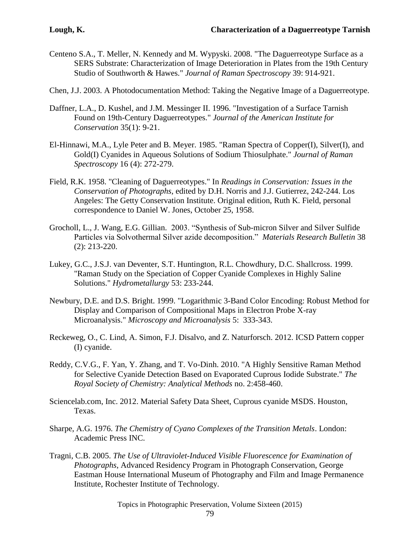- Centeno S.A., T. Meller, N. Kennedy and M. Wypyski. 2008. "The Daguerreotype Surface as a SERS Substrate: Characterization of Image Deterioration in Plates from the 19th Century Studio of Southworth & Hawes." *Journal of Raman Spectroscopy* 39: 914-921.
- Chen, J.J. 2003. A Photodocumentation Method: Taking the Negative Image of a Daguerreotype.
- Daffner, L.A., D. Kushel, and J.M. Messinger II. 1996. "Investigation of a Surface Tarnish Found on 19th-Century Daguerreotypes." *Journal of the American Institute for Conservation* 35(1): 9-21.
- El-Hinnawi, M.A., Lyle Peter and B. Meyer. 1985. "Raman Spectra of Copper(I), Silver(I), and Gold(I) Cyanides in Aqueous Solutions of Sodium Thiosulphate." *Journal of Raman Spectroscopy* 16 (4): 272-279.
- Field, R.K. 1958. "Cleaning of Daguerreotypes." In *Readings in Conservation: Issues in the Conservation of Photographs*, edited by D.H. Norris and J.J. Gutierrez, 242-244. Los Angeles: The Getty Conservation Institute. Original edition, Ruth K. Field, personal correspondence to Daniel W. Jones, October 25, 1958.
- Grocholl, L., J. Wang, E.G. Gillian. 2003. "Synthesis of Sub-micron Silver and Silver Sulfide Particles via Solvothermal Silver azide decomposition." *Materials Research Bulletin* 38 (2): 213-220.
- Lukey, G.C., J.S.J. van Deventer, S.T. Huntington, R.L. Chowdhury, D.C. Shallcross. 1999. "Raman Study on the Speciation of Copper Cyanide Complexes in Highly Saline Solutions." *Hydrometallurgy* 53: 233-244.
- Newbury, D.E. and D.S. Bright. 1999. "Logarithmic 3-Band Color Encoding: Robust Method for Display and Comparison of Compositional Maps in Electron Probe X-ray Microanalysis." *Microscopy and Microanalysis* 5: 333-343.
- Reckeweg, O., C. Lind, A. Simon, F.J. Disalvo, and Z. Naturforsch. 2012. ICSD Pattern copper (I) cyanide.
- Reddy, C.V.G., F. Yan, Y. Zhang, and T. Vo-Dinh. 2010. "A Highly Sensitive Raman Method for Selective Cyanide Detection Based on Evaporated Cuprous Iodide Substrate." *The Royal Society of Chemistry: Analytical Methods* no. 2:458-460.
- Sciencelab.com, Inc. 2012. Material Safety Data Sheet, Cuprous cyanide MSDS. Houston, Texas.
- Sharpe, A.G. 1976. *The Chemistry of Cyano Complexes of the Transition Metals*. London: Academic Press INC.
- Tragni, C.B. 2005. *The Use of Ultraviolet-Induced Visible Fluorescence for Examination of Photographs*, Advanced Residency Program in Photograph Conservation, George Eastman House International Museum of Photography and Film and Image Permanence Institute, Rochester Institute of Technology.

Topics in Photographic Preservation, Volume Sixteen (2015)